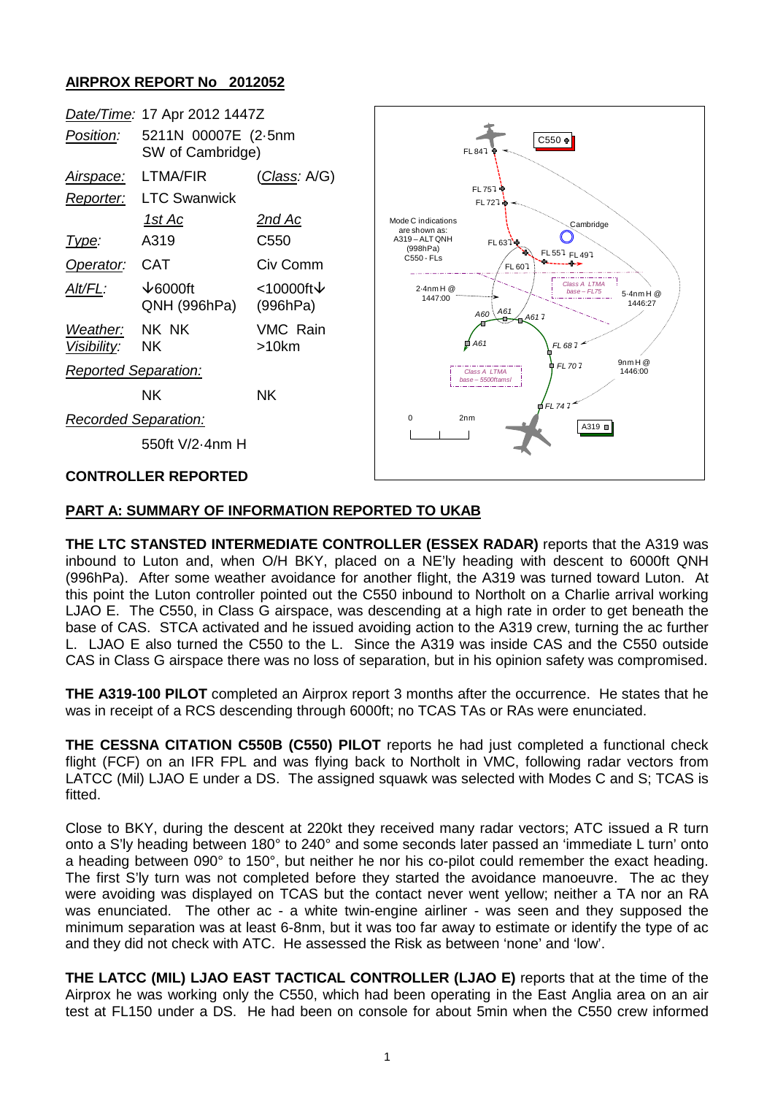# **AIRPROX REPORT No 2012052**

|                                  | Date/Time: 17 Apr 2012 1447Z            |                       |
|----------------------------------|-----------------------------------------|-----------------------|
| Position:                        | 5211N 00007E (2-5nm<br>SW of Cambridge) |                       |
| <u>Airspace:</u>                 | LTMA/FIR                                | <u>(Class</u> : A/G)  |
| Reporter:                        | LTC Swanwick                            |                       |
|                                  | <u> 1st Ac</u>                          | <u>2nd Ac</u>         |
| Type:                            | A319                                    | C550                  |
| Operator:                        | CAT                                     | Civ Comm              |
| Alt/FL:                          | $\sqrt{6000}$ ft<br>QNH (996hPa)        | <10000ft↓<br>(996hPa) |
| Weather: NK NK<br>Visibility: NK |                                         | VMC Rain<br>>10km     |
| <b>Reported Separation:</b>      |                                         |                       |
|                                  | ΝK                                      | ΝK                    |
| <b>Recorded Separation:</b>      |                                         |                       |
|                                  | 550ft V/2-4nm H                         |                       |



### **CONTROLLER REPORTED**

### **PART A: SUMMARY OF INFORMATION REPORTED TO UKAB**

**THE LTC STANSTED INTERMEDIATE CONTROLLER (ESSEX RADAR)** reports that the A319 was inbound to Luton and, when O/H BKY, placed on a NE'ly heading with descent to 6000ft QNH (996hPa). After some weather avoidance for another flight, the A319 was turned toward Luton. At this point the Luton controller pointed out the C550 inbound to Northolt on a Charlie arrival working LJAO E. The C550, in Class G airspace, was descending at a high rate in order to get beneath the base of CAS. STCA activated and he issued avoiding action to the A319 crew, turning the ac further L. LJAO E also turned the C550 to the L. Since the A319 was inside CAS and the C550 outside CAS in Class G airspace there was no loss of separation, but in his opinion safety was compromised.

**THE A319-100 PILOT** completed an Airprox report 3 months after the occurrence. He states that he was in receipt of a RCS descending through 6000ft; no TCAS TAs or RAs were enunciated.

**THE CESSNA CITATION C550B (C550) PILOT** reports he had just completed a functional check flight (FCF) on an IFR FPL and was flying back to Northolt in VMC, following radar vectors from LATCC (Mil) LJAO E under a DS. The assigned squawk was selected with Modes C and S; TCAS is fitted.

Close to BKY, during the descent at 220kt they received many radar vectors; ATC issued a R turn onto a S'ly heading between 180° to 240° and some seconds later passed an 'immediate L turn' onto a heading between 090° to 150°, but neither he nor his co-pilot could remember the exact heading. The first S'ly turn was not completed before they started the avoidance manoeuvre. The ac they were avoiding was displayed on TCAS but the contact never went yellow; neither a TA nor an RA was enunciated. The other ac - a white twin-engine airliner - was seen and they supposed the minimum separation was at least 6-8nm, but it was too far away to estimate or identify the type of ac and they did not check with ATC. He assessed the Risk as between 'none' and 'low'.

**THE LATCC (MIL) LJAO EAST TACTICAL CONTROLLER (LJAO E)** reports that at the time of the Airprox he was working only the C550, which had been operating in the East Anglia area on an air test at FL150 under a DS. He had been on console for about 5min when the C550 crew informed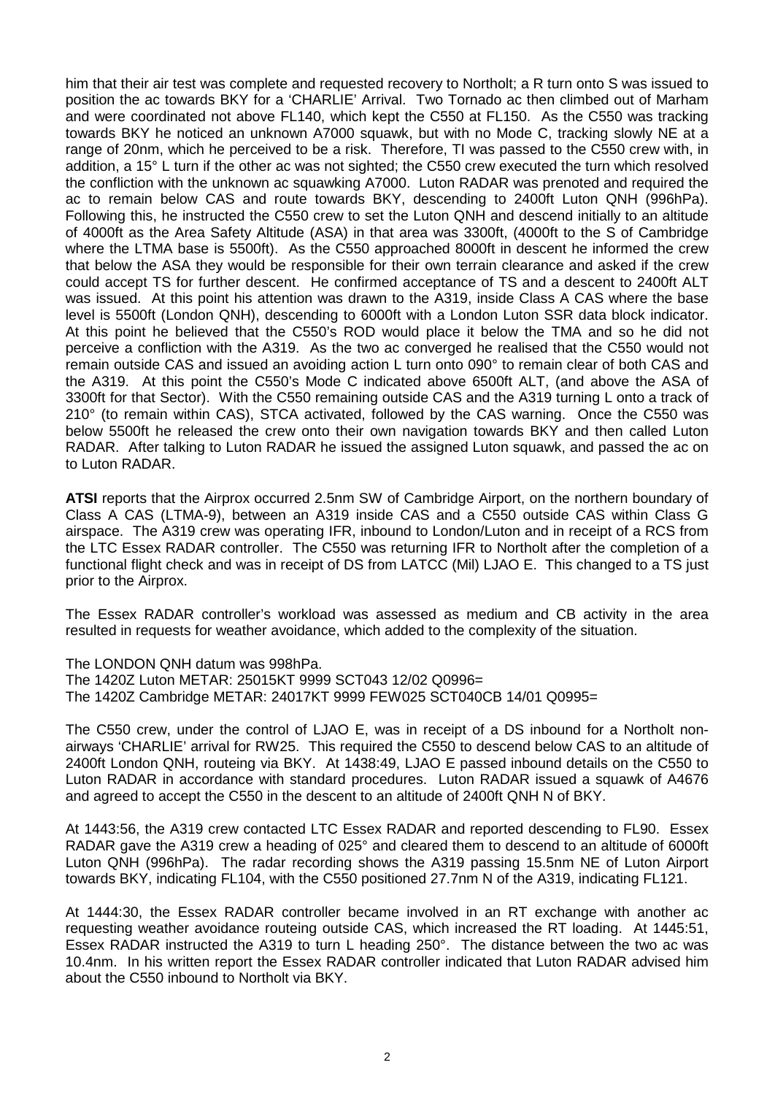him that their air test was complete and requested recovery to Northolt; a R turn onto S was issued to position the ac towards BKY for a 'CHARLIE' Arrival. Two Tornado ac then climbed out of Marham and were coordinated not above FL140, which kept the C550 at FL150. As the C550 was tracking towards BKY he noticed an unknown A7000 squawk, but with no Mode C, tracking slowly NE at a range of 20nm, which he perceived to be a risk. Therefore, TI was passed to the C550 crew with, in addition, a 15° L turn if the other ac was not sighted; the C550 crew executed the turn which resolved the confliction with the unknown ac squawking A7000. Luton RADAR was prenoted and required the ac to remain below CAS and route towards BKY, descending to 2400ft Luton QNH (996hPa). Following this, he instructed the C550 crew to set the Luton QNH and descend initially to an altitude of 4000ft as the Area Safety Altitude (ASA) in that area was 3300ft, (4000ft to the S of Cambridge where the LTMA base is 5500ft). As the C550 approached 8000ft in descent he informed the crew that below the ASA they would be responsible for their own terrain clearance and asked if the crew could accept TS for further descent. He confirmed acceptance of TS and a descent to 2400ft ALT was issued. At this point his attention was drawn to the A319, inside Class A CAS where the base level is 5500ft (London QNH), descending to 6000ft with a London Luton SSR data block indicator. At this point he believed that the C550's ROD would place it below the TMA and so he did not perceive a confliction with the A319. As the two ac converged he realised that the C550 would not remain outside CAS and issued an avoiding action L turn onto 090° to remain clear of both CAS and the A319. At this point the C550's Mode C indicated above 6500ft ALT, (and above the ASA of 3300ft for that Sector). With the C550 remaining outside CAS and the A319 turning L onto a track of 210° (to remain within CAS), STCA activated, followed by the CAS warning. Once the C550 was below 5500ft he released the crew onto their own navigation towards BKY and then called Luton RADAR. After talking to Luton RADAR he issued the assigned Luton squawk, and passed the ac on to Luton RADAR.

**ATSI** reports that the Airprox occurred 2.5nm SW of Cambridge Airport, on the northern boundary of Class A CAS (LTMA-9), between an A319 inside CAS and a C550 outside CAS within Class G airspace. The A319 crew was operating IFR, inbound to London/Luton and in receipt of a RCS from the LTC Essex RADAR controller. The C550 was returning IFR to Northolt after the completion of a functional flight check and was in receipt of DS from LATCC (Mil) LJAO E. This changed to a TS just prior to the Airprox.

The Essex RADAR controller's workload was assessed as medium and CB activity in the area resulted in requests for weather avoidance, which added to the complexity of the situation.

The LONDON QNH datum was 998hPa.

The 1420Z Luton METAR: 25015KT 9999 SCT043 12/02 Q0996= The 1420Z Cambridge METAR: 24017KT 9999 FEW025 SCT040CB 14/01 Q0995=

The C550 crew, under the control of LJAO E, was in receipt of a DS inbound for a Northolt nonairways 'CHARLIE' arrival for RW25. This required the C550 to descend below CAS to an altitude of 2400ft London QNH, routeing via BKY. At 1438:49, LJAO E passed inbound details on the C550 to Luton RADAR in accordance with standard procedures. Luton RADAR issued a squawk of A4676 and agreed to accept the C550 in the descent to an altitude of 2400ft QNH N of BKY.

At 1443:56, the A319 crew contacted LTC Essex RADAR and reported descending to FL90. Essex RADAR gave the A319 crew a heading of 025° and cleared them to descend to an altitude of 6000ft Luton QNH (996hPa). The radar recording shows the A319 passing 15.5nm NE of Luton Airport towards BKY, indicating FL104, with the C550 positioned 27.7nm N of the A319, indicating FL121.

At 1444:30, the Essex RADAR controller became involved in an RT exchange with another ac requesting weather avoidance routeing outside CAS, which increased the RT loading. At 1445:51, Essex RADAR instructed the A319 to turn L heading 250°. The distance between the two ac was 10.4nm. In his written report the Essex RADAR controller indicated that Luton RADAR advised him about the C550 inbound to Northolt via BKY.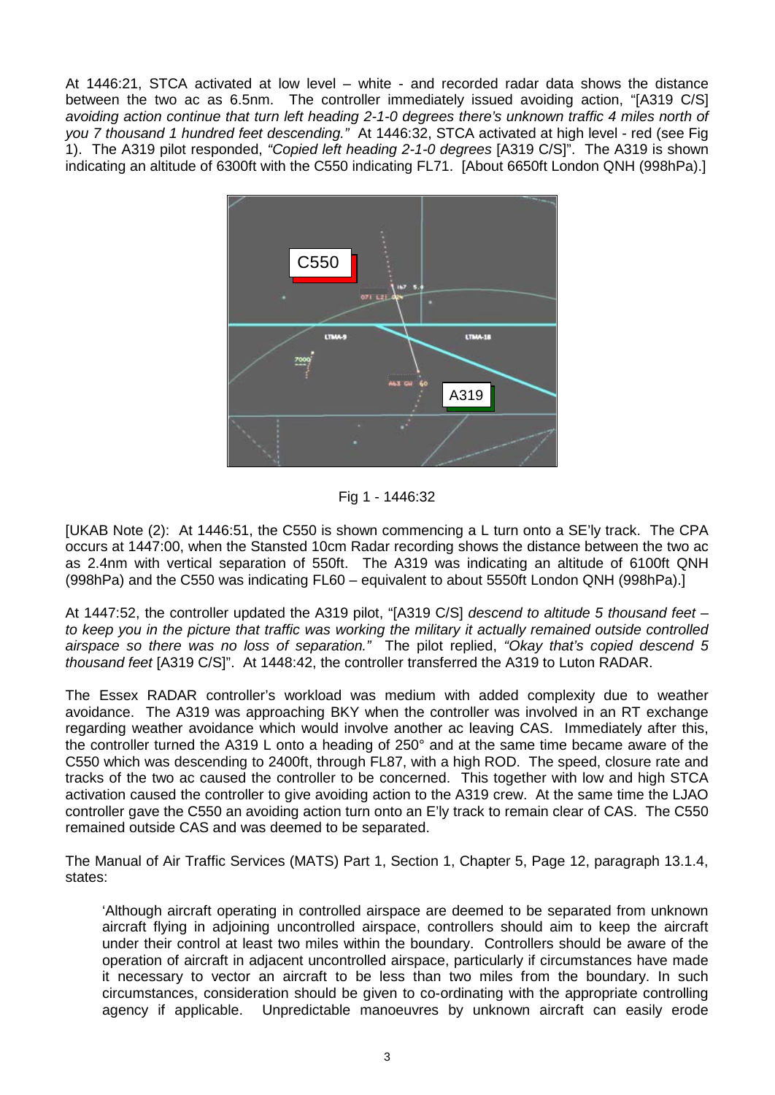At 1446:21, STCA activated at low level – white - and recorded radar data shows the distance between the two ac as 6.5nm. The controller immediately issued avoiding action, "[A319 C/S] *avoiding action continue that turn left heading 2-1-0 degrees there's unknown traffic 4 miles north of you 7 thousand 1 hundred feet descending."* At 1446:32, STCA activated at high level - red (see Fig 1). The A319 pilot responded, *"Copied left heading 2-1-0 degrees* [A319 C/S]". The A319 is shown indicating an altitude of 6300ft with the C550 indicating FL71. [About 6650ft London QNH (998hPa).]



Fig 1 - 1446:32

[UKAB Note (2): At 1446:51, the C550 is shown commencing a L turn onto a SE'ly track. The CPA occurs at 1447:00, when the Stansted 10cm Radar recording shows the distance between the two ac as 2.4nm with vertical separation of 550ft. The A319 was indicating an altitude of 6100ft QNH (998hPa) and the C550 was indicating FL60 – equivalent to about 5550ft London QNH (998hPa).]

At 1447:52, the controller updated the A319 pilot, "[A319 C/S] *descend to altitude 5 thousand feet – to keep you in the picture that traffic was working the military it actually remained outside controlled airspace so there was no loss of separation."* The pilot replied, *"Okay that's copied descend 5 thousand feet* [A319 C/S]". At 1448:42, the controller transferred the A319 to Luton RADAR.

The Essex RADAR controller's workload was medium with added complexity due to weather avoidance. The A319 was approaching BKY when the controller was involved in an RT exchange regarding weather avoidance which would involve another ac leaving CAS. Immediately after this, the controller turned the A319 L onto a heading of 250° and at the same time became aware of the C550 which was descending to 2400ft, through FL87, with a high ROD. The speed, closure rate and tracks of the two ac caused the controller to be concerned. This together with low and high STCA activation caused the controller to give avoiding action to the A319 crew. At the same time the LJAO controller gave the C550 an avoiding action turn onto an E'ly track to remain clear of CAS. The C550 remained outside CAS and was deemed to be separated.

The Manual of Air Traffic Services (MATS) Part 1, Section 1, Chapter 5, Page 12, paragraph 13.1.4, states:

'Although aircraft operating in controlled airspace are deemed to be separated from unknown aircraft flying in adjoining uncontrolled airspace, controllers should aim to keep the aircraft under their control at least two miles within the boundary. Controllers should be aware of the operation of aircraft in adjacent uncontrolled airspace, particularly if circumstances have made it necessary to vector an aircraft to be less than two miles from the boundary. In such circumstances, consideration should be given to co-ordinating with the appropriate controlling agency if applicable. Unpredictable manoeuvres by unknown aircraft can easily erode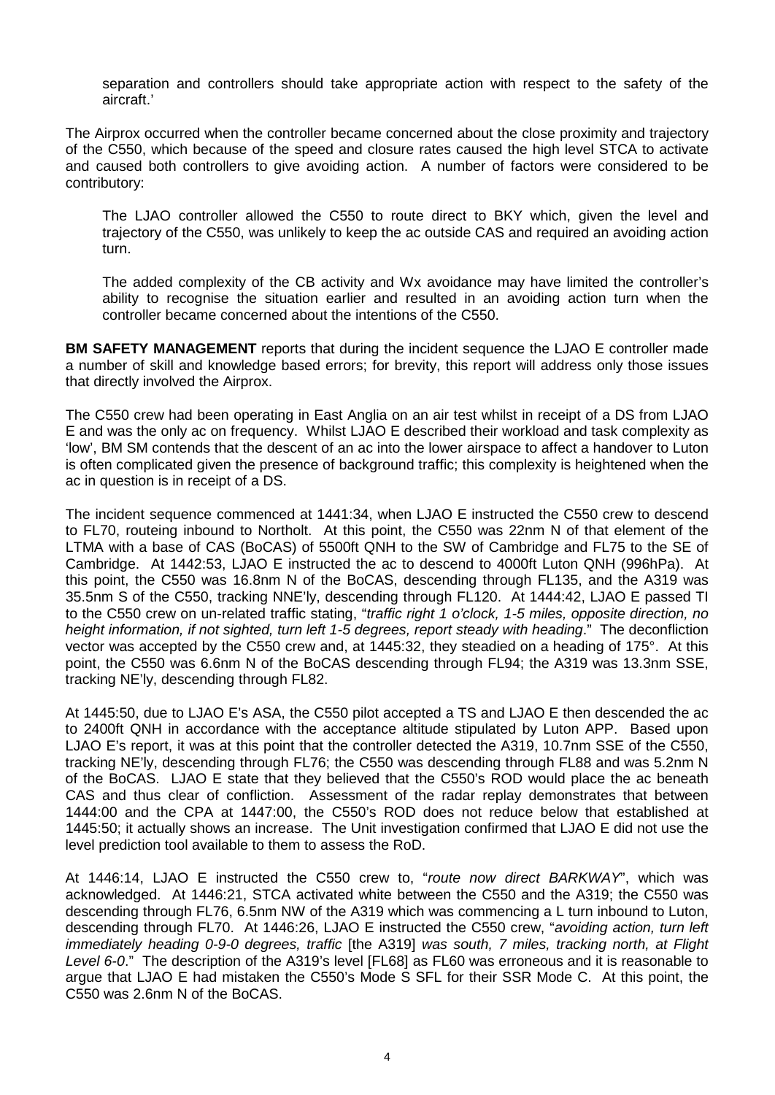separation and controllers should take appropriate action with respect to the safety of the aircraft.'

The Airprox occurred when the controller became concerned about the close proximity and trajectory of the C550, which because of the speed and closure rates caused the high level STCA to activate and caused both controllers to give avoiding action. A number of factors were considered to be contributory:

The LJAO controller allowed the C550 to route direct to BKY which, given the level and trajectory of the C550, was unlikely to keep the ac outside CAS and required an avoiding action turn.

The added complexity of the CB activity and Wx avoidance may have limited the controller's ability to recognise the situation earlier and resulted in an avoiding action turn when the controller became concerned about the intentions of the C550.

**BM SAFETY MANAGEMENT** reports that during the incident sequence the LJAO E controller made a number of skill and knowledge based errors; for brevity, this report will address only those issues that directly involved the Airprox.

The C550 crew had been operating in East Anglia on an air test whilst in receipt of a DS from LJAO E and was the only ac on frequency. Whilst LJAO E described their workload and task complexity as 'low', BM SM contends that the descent of an ac into the lower airspace to affect a handover to Luton is often complicated given the presence of background traffic; this complexity is heightened when the ac in question is in receipt of a DS.

The incident sequence commenced at 1441:34, when LJAO E instructed the C550 crew to descend to FL70, routeing inbound to Northolt. At this point, the C550 was 22nm N of that element of the LTMA with a base of CAS (BoCAS) of 5500ft QNH to the SW of Cambridge and FL75 to the SE of Cambridge. At 1442:53, LJAO E instructed the ac to descend to 4000ft Luton QNH (996hPa). At this point, the C550 was 16.8nm N of the BoCAS, descending through FL135, and the A319 was 35.5nm S of the C550, tracking NNE'ly, descending through FL120. At 1444:42, LJAO E passed TI to the C550 crew on un-related traffic stating, "*traffic right 1 o'clock, 1-5 miles, opposite direction, no height information, if not sighted, turn left 1-5 degrees, report steady with heading*." The deconfliction vector was accepted by the C550 crew and, at 1445:32, they steadied on a heading of 175°. At this point, the C550 was 6.6nm N of the BoCAS descending through FL94; the A319 was 13.3nm SSE, tracking NE'ly, descending through FL82.

At 1445:50, due to LJAO E's ASA, the C550 pilot accepted a TS and LJAO E then descended the ac to 2400ft QNH in accordance with the acceptance altitude stipulated by Luton APP. Based upon LJAO E's report, it was at this point that the controller detected the A319, 10.7nm SSE of the C550, tracking NE'ly, descending through FL76; the C550 was descending through FL88 and was 5.2nm N of the BoCAS. LJAO E state that they believed that the C550's ROD would place the ac beneath CAS and thus clear of confliction. Assessment of the radar replay demonstrates that between 1444:00 and the CPA at 1447:00, the C550's ROD does not reduce below that established at 1445:50; it actually shows an increase. The Unit investigation confirmed that LJAO E did not use the level prediction tool available to them to assess the RoD.

At 1446:14, LJAO E instructed the C550 crew to, "*route now direct BARKWAY*", which was acknowledged. At 1446:21, STCA activated white between the C550 and the A319; the C550 was descending through FL76, 6.5nm NW of the A319 which was commencing a L turn inbound to Luton, descending through FL70. At 1446:26, LJAO E instructed the C550 crew, "*avoiding action, turn left immediately heading 0-9-0 degrees, traffic* [the A319] *was south, 7 miles, tracking north, at Flight Level 6-0*." The description of the A319's level [FL68] as FL60 was erroneous and it is reasonable to argue that LJAO E had mistaken the C550's Mode S SFL for their SSR Mode C. At this point, the C550 was 2.6nm N of the BoCAS.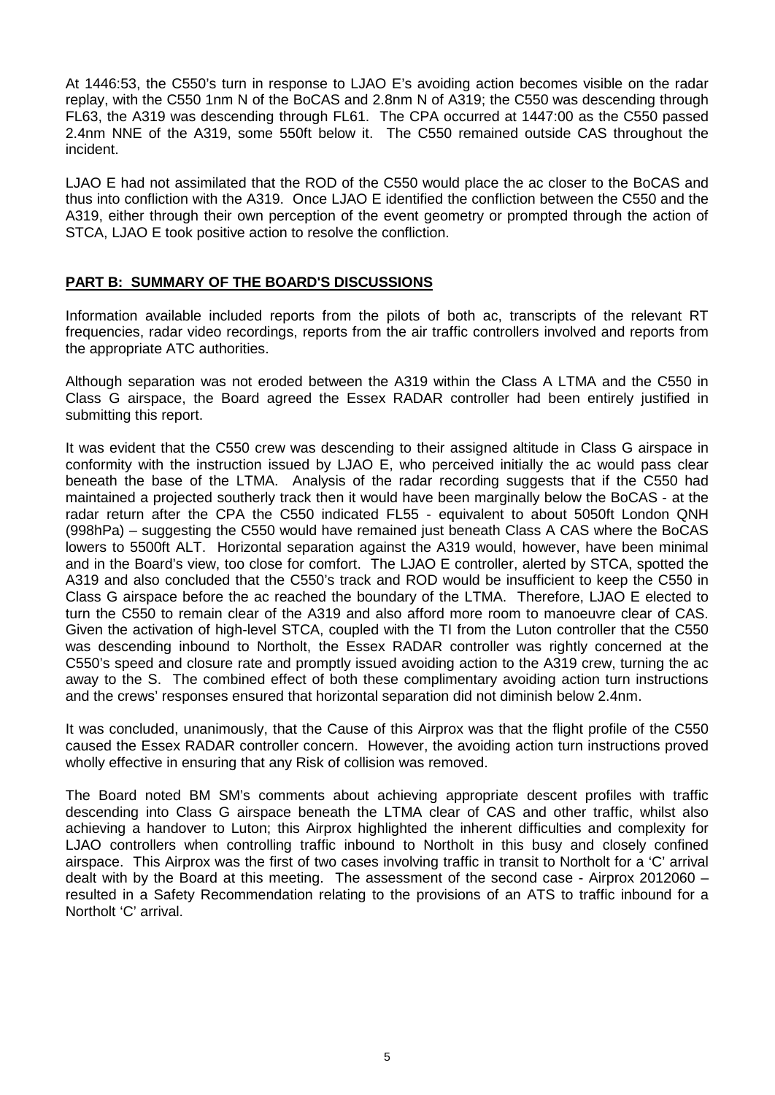At 1446:53, the C550's turn in response to LJAO E's avoiding action becomes visible on the radar replay, with the C550 1nm N of the BoCAS and 2.8nm N of A319; the C550 was descending through FL63, the A319 was descending through FL61. The CPA occurred at 1447:00 as the C550 passed 2.4nm NNE of the A319, some 550ft below it. The C550 remained outside CAS throughout the incident.

LJAO E had not assimilated that the ROD of the C550 would place the ac closer to the BoCAS and thus into confliction with the A319. Once LJAO E identified the confliction between the C550 and the A319, either through their own perception of the event geometry or prompted through the action of STCA, LJAO E took positive action to resolve the confliction.

# **PART B: SUMMARY OF THE BOARD'S DISCUSSIONS**

Information available included reports from the pilots of both ac, transcripts of the relevant RT frequencies, radar video recordings, reports from the air traffic controllers involved and reports from the appropriate ATC authorities.

Although separation was not eroded between the A319 within the Class A LTMA and the C550 in Class G airspace, the Board agreed the Essex RADAR controller had been entirely justified in submitting this report.

It was evident that the C550 crew was descending to their assigned altitude in Class G airspace in conformity with the instruction issued by LJAO E, who perceived initially the ac would pass clear beneath the base of the LTMA. Analysis of the radar recording suggests that if the C550 had maintained a projected southerly track then it would have been marginally below the BoCAS - at the radar return after the CPA the C550 indicated FL55 - equivalent to about 5050ft London QNH (998hPa) – suggesting the C550 would have remained just beneath Class A CAS where the BoCAS lowers to 5500ft ALT. Horizontal separation against the A319 would, however, have been minimal and in the Board's view, too close for comfort. The LJAO E controller, alerted by STCA, spotted the A319 and also concluded that the C550's track and ROD would be insufficient to keep the C550 in Class G airspace before the ac reached the boundary of the LTMA. Therefore, LJAO E elected to turn the C550 to remain clear of the A319 and also afford more room to manoeuvre clear of CAS. Given the activation of high-level STCA, coupled with the TI from the Luton controller that the C550 was descending inbound to Northolt, the Essex RADAR controller was rightly concerned at the C550's speed and closure rate and promptly issued avoiding action to the A319 crew, turning the ac away to the S. The combined effect of both these complimentary avoiding action turn instructions and the crews' responses ensured that horizontal separation did not diminish below 2.4nm.

It was concluded, unanimously, that the Cause of this Airprox was that the flight profile of the C550 caused the Essex RADAR controller concern. However, the avoiding action turn instructions proved wholly effective in ensuring that any Risk of collision was removed.

The Board noted BM SM's comments about achieving appropriate descent profiles with traffic descending into Class G airspace beneath the LTMA clear of CAS and other traffic, whilst also achieving a handover to Luton; this Airprox highlighted the inherent difficulties and complexity for LJAO controllers when controlling traffic inbound to Northolt in this busy and closely confined airspace. This Airprox was the first of two cases involving traffic in transit to Northolt for a 'C' arrival dealt with by the Board at this meeting. The assessment of the second case - Airprox 2012060 – resulted in a Safety Recommendation relating to the provisions of an ATS to traffic inbound for a Northolt 'C' arrival.